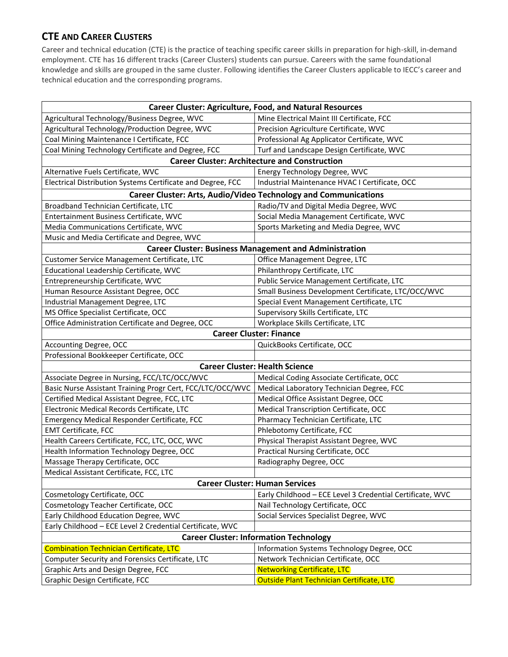## **CTE AND CAREER CLUSTERS**

Career and technical education (CTE) is the practice of teaching specific career skills in preparation for high-skill, in-demand employment. CTE has 16 different tracks (Career Clusters) students can pursue. Careers with the same foundational knowledge and skills are grouped in the same cluster. Following identifies the Career Clusters applicable to IECC's career and technical education and the corresponding programs.

| <b>Career Cluster: Agriculture, Food, and Natural Resources</b> |                                                           |  |
|-----------------------------------------------------------------|-----------------------------------------------------------|--|
| Agricultural Technology/Business Degree, WVC                    | Mine Electrical Maint III Certificate, FCC                |  |
| Agricultural Technology/Production Degree, WVC                  | Precision Agriculture Certificate, WVC                    |  |
| Coal Mining Maintenance I Certificate, FCC                      | Professional Ag Applicator Certificate, WVC               |  |
| Coal Mining Technology Certificate and Degree, FCC              | Turf and Landscape Design Certificate, WVC                |  |
| <b>Career Cluster: Architecture and Construction</b>            |                                                           |  |
| Alternative Fuels Certificate, WVC                              | Energy Technology Degree, WVC                             |  |
| Electrical Distribution Systems Certificate and Degree, FCC     | Industrial Maintenance HVAC I Certificate, OCC            |  |
| Career Cluster: Arts, Audio/Video Technology and Communications |                                                           |  |
| Broadband Technician Certificate, LTC                           | Radio/TV and Digital Media Degree, WVC                    |  |
| Entertainment Business Certificate, WVC                         | Social Media Management Certificate, WVC                  |  |
| Media Communications Certificate, WVC                           | Sports Marketing and Media Degree, WVC                    |  |
| Music and Media Certificate and Degree, WVC                     |                                                           |  |
| <b>Career Cluster: Business Management and Administration</b>   |                                                           |  |
| Customer Service Management Certificate, LTC                    | Office Management Degree, LTC                             |  |
| Educational Leadership Certificate, WVC                         | Philanthropy Certificate, LTC                             |  |
| Entrepreneurship Certificate, WVC                               | Public Service Management Certificate, LTC                |  |
| Human Resource Assistant Degree, OCC                            | Small Business Development Certificate, LTC/OCC/WVC       |  |
| Industrial Management Degree, LTC                               | Special Event Management Certificate, LTC                 |  |
| MS Office Specialist Certificate, OCC                           | Supervisory Skills Certificate, LTC                       |  |
| Office Administration Certificate and Degree, OCC               | Workplace Skills Certificate, LTC                         |  |
| <b>Career Cluster: Finance</b>                                  |                                                           |  |
| Accounting Degree, OCC                                          | QuickBooks Certificate, OCC                               |  |
| Professional Bookkeeper Certificate, OCC                        |                                                           |  |
| <b>Career Cluster: Health Science</b>                           |                                                           |  |
| Associate Degree in Nursing, FCC/LTC/OCC/WVC                    | Medical Coding Associate Certificate, OCC                 |  |
| Basic Nurse Assistant Training Progr Cert, FCC/LTC/OCC/WVC      | Medical Laboratory Technician Degree, FCC                 |  |
| Certified Medical Assistant Degree, FCC, LTC                    | Medical Office Assistant Degree, OCC                      |  |
| Electronic Medical Records Certificate, LTC                     | Medical Transcription Certificate, OCC                    |  |
| Emergency Medical Responder Certificate, FCC                    | Pharmacy Technician Certificate, LTC                      |  |
| <b>EMT Certificate, FCC</b>                                     | Phlebotomy Certificate, FCC                               |  |
| Health Careers Certificate, FCC, LTC, OCC, WVC                  | Physical Therapist Assistant Degree, WVC                  |  |
| Health Information Technology Degree, OCC                       | Practical Nursing Certificate, OCC                        |  |
| Massage Therapy Certificate, OCC                                | Radiography Degree, OCC                                   |  |
| Medical Assistant Certificate, FCC, LTC                         |                                                           |  |
| <b>Career Cluster: Human Services</b>                           |                                                           |  |
| Cosmetology Certificate, OCC                                    | Early Childhood - ECE Level 3 Credential Certificate, WVC |  |
| Cosmetology Teacher Certificate, OCC                            | Nail Technology Certificate, OCC                          |  |
| Early Childhood Education Degree, WVC                           | Social Services Specialist Degree, WVC                    |  |
| Early Childhood - ECE Level 2 Credential Certificate, WVC       |                                                           |  |
| <b>Career Cluster: Information Technology</b>                   |                                                           |  |
| <b>Combination Technician Certificate, LTC</b>                  | Information Systems Technology Degree, OCC                |  |
| Computer Security and Forensics Certificate, LTC                | Network Technician Certificate, OCC                       |  |
| Graphic Arts and Design Degree, FCC                             | <b>Networking Certificate, LTC</b>                        |  |
| Graphic Design Certificate, FCC                                 | Outside Plant Technician Certificate, LTC                 |  |